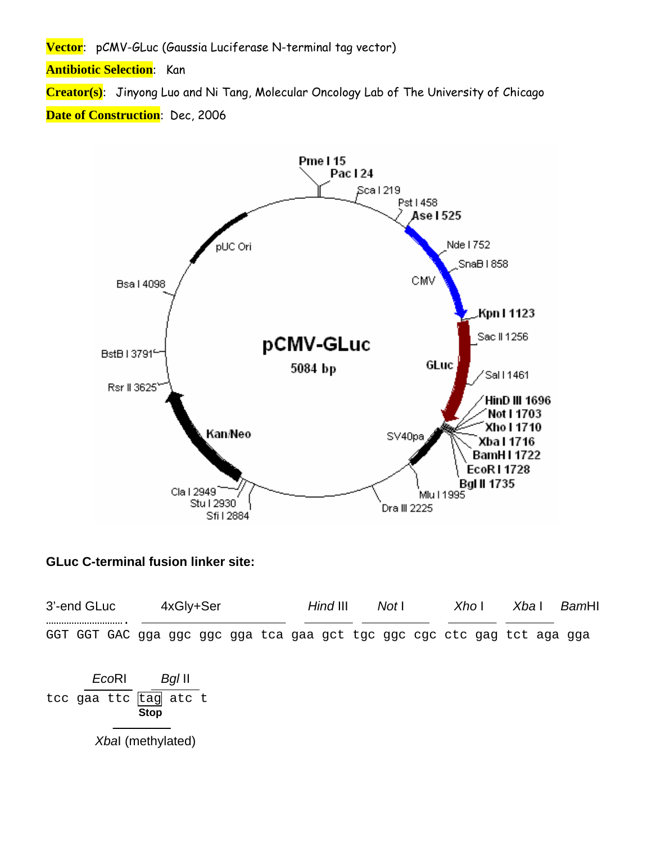Vector: pCMV-GLuc (Gaussia Luciferase N-terminal tag vector)

**Antibiotic Selection:** Kan

Creator(s): Jinyong Luo and Ni Tang, Molecular Oncology Lab of The University of Chicago

**Date of Construction**: Dec, 2006



## **GLuc C-terminal fusion linker site:**

| 3'-end GLuc |                       |       | 4xGly+Ser   |                   |  |  |  | Hind III |  | Not I |  | Xho |  | Xba I |  | BamHI |                                                                         |
|-------------|-----------------------|-------|-------------|-------------------|--|--|--|----------|--|-------|--|-----|--|-------|--|-------|-------------------------------------------------------------------------|
|             |                       |       |             |                   |  |  |  |          |  |       |  |     |  |       |  |       | GGT GGT GAC gga ggc ggc gga tca gaa gct tgc ggc cgc ctc gag tct aga gga |
|             |                       | EcoRI |             | BgI II            |  |  |  |          |  |       |  |     |  |       |  |       |                                                                         |
|             | tcc gaa ttc tag atc t |       | <b>Stop</b> |                   |  |  |  |          |  |       |  |     |  |       |  |       |                                                                         |
|             |                       |       |             | Xbal (methylated) |  |  |  |          |  |       |  |     |  |       |  |       |                                                                         |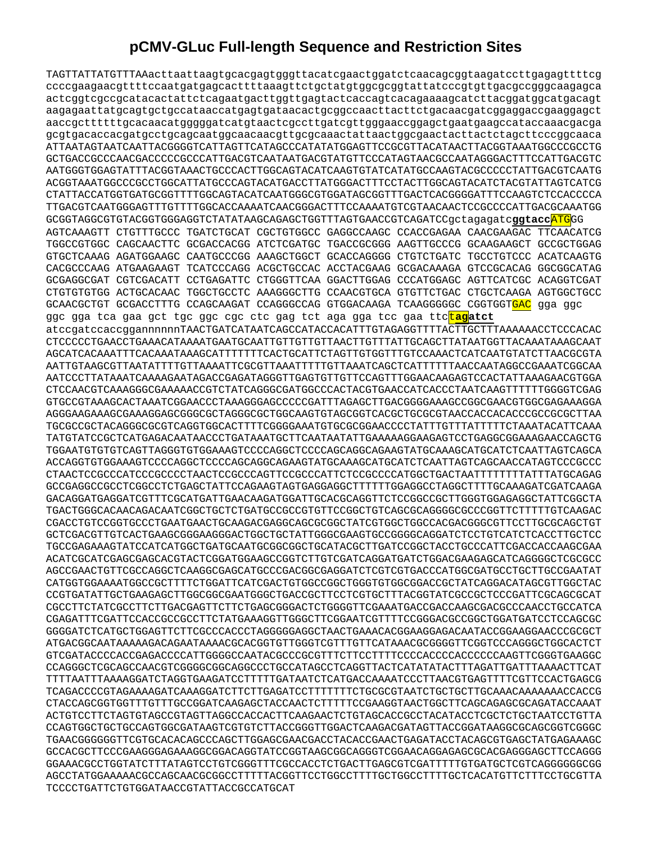## **pCMV-GLuc Full-length Sequence and Restriction Sites**

TAGTTATTATGTTTAAacttaattaagtgcacgagtgggttacatcgaactggatctcaacagcggtaagatccttgagagttttcg ccccgaagaacgttttccaatgatgagcacttttaaagttctgctatgtggcgcggtattatcccgtgttgacgccgggcaagagca actcggtcgccgcatacactattctcagaatgacttggttgagtactcaccagtcacagaaaagcatcttacggatggcatgacagt aagagaattatgcagtgctgccataaccatgagtgataacactgcggccaacttacttctgacaacgatcggaggaccgaaggagct aaccgcttttttgcacaacatgggggatcatgtaactcgccttgatcgttgggaaccggagctgaatgaagccataccaaacgacga gcgtgacaccacgatgcctgcagcaatggcaacaacgttgcgcaaactattaactggcgaactacttactctagcttcccggcaaca ATTAATAGTAATCAATTACGGGGTCATTAGTTCATAGCCCATATATGGAGTTCCGCGTTACATAACTTACGGTAAATGGCCCGCCTG GCTGACCGCCCAACGACCCCCGCCCATTGACGTCAATAATGACGTATGTTCCCATAGTAACGCCAATAGGGACTTTCCATTGACGTC AATGGGTGGAGTATTTACGGTAAACTGCCCACTTGGCAGTACATCAAGTGTATCATATGCCAAGTACGCCCCCTATTGACGTCAATG ACGGTAAATGGCCCGCCTGGCATTATGCCCAGTACATGACCTTATGGGACTTTCCTACTTGGCAGTACATCTACGTATTAGTCATCG CTATTACCATGGTGATGCGGTTTTGGCAGTACATCAATGGGCGTGGATAGCGGTTTGACTCACGGGGATTTCCAAGTCTCCACCCCA TTGACGTCAATGGGAGTTTGTTTTGGCACCAAAATCAACGGGACTTTCCAAAATGTCGTAACAACTCCGCCCCATTGACGCAAATGG GCGGTAGGCGTGTACGGTGGGAGGTCTATATAAGCAGAGCTGGTTTAGTGAACCGTCAGATCCgctagagatc**ggtacc**ATGGG AGTCAAAGTT CTGTTTGCCC TGATCTGCAT CGCTGTGGCC GAGGCCAAGC CCACCGAGAA CAACGAAGAC TTCAACATCG TGGCCGTGGC CAGCAACTTC GCGACCACGG ATCTCGATGC TGACCGCGGG AAGTTGCCCG GCAAGAAGCT GCCGCTGGAG GTGCTCAAAG AGATGGAAGC CAATGCCCGG AAAGCTGGCT GCACCAGGGG CTGTCTGATC TGCCTGTCCC ACATCAAGTG CACGCCCAAG ATGAAGAAGT TCATCCCAGG ACGCTGCCAC ACCTACGAAG GCGACAAAGA GTCCGCACAG GGCGGCATAG GCGAGGCGAT CGTCGACATT CCTGAGATTC CTGGGTTCAA GGACTTGGAG CCCATGGAGC AGTTCATCGC ACAGGTCGAT CTGTGTGTGG ACTGCACAAC TGGCTGCCTC AAAGGGCTTG CCAACGTGCA GTGTTCTGAC CTGCTCAAGA AGTGGCTGCC GCAACGCTGT GCGACCTTTG CCAGCAAGAT CCAGGGCCAG GTGGACAAGA TCAAGGGGGC CGGTGGT<mark>GAC</mark> gga ggc ggc gga tca gaa gct tgc ggc cgc ctc gag tct aga gga tcc gaa ttc<mark>tag</mark>atct atccgatccaccggannnnnnTAACTGATCATAATCAGCCATACCACATTTGTAGAGGTTTTACTTGCTTTAAAAAACCTCCCACAC CTCCCCCTGAACCTGAAACATAAAATGAATGCAATTGTTGTTGTTAACTTGTTTATTGCAGCTTATAATGGTTACAAATAAAGCAAT AGCATCACAAATTTCACAAATAAAGCATTTTTTTCACTGCATTCTAGTTGTGGTTTGTCCAAACTCATCAATGTATCTTAACGCGTA AATTGTAAGCGTTAATATTTTGTTAAAATTCGCGTTAAATTTTTGTTAAATCAGCTCATTTTTTAACCAATAGGCCGAAATCGGCAA AATCCCTTATAAATCAAAAGAATAGACCGAGATAGGGTTGAGTGTTGTTCCAGTTTGGAACAAGAGTCCACTATTAAAGAACGTGGA CTCCAACGTCAAAGGGCGAAAAACCGTCTATCAGGGCGATGGCCCACTACGTGAACCATCACCCTAATCAAGTTTTTTGGGGTCGAG GTGCCGTAAAGCACTAAATCGGAACCCTAAAGGGAGCCCCCGATTTAGAGCTTGACGGGGAAAGCCGGCGAACGTGGCGAGAAAGGA AGGGAAGAAAGCGAAAGGAGCGGGCGCTAGGGCGCTGGCAAGTGTAGCGGTCACGCTGCGCGTAACCACCACACCCGCCGCGCTTAA TGCGCCGCTACAGGGCGCGTCAGGTGGCACTTTTCGGGGAAATGTGCGCGGAACCCCTATTTGTTTATTTTTCTAAATACATTCAAA TATGTATCCGCTCATGAGACAATAACCCTGATAAATGCTTCAATAATATTGAAAAAGGAAGAGTCCTGAGGCGGAAAGAACCAGCTG TGGAATGTGTGTCAGTTAGGGTGTGGAAAGTCCCCAGGCTCCCCAGCAGGCAGAAGTATGCAAAGCATGCATCTCAATTAGTCAGCA ACCAGGTGTGGAAAGTCCCCAGGCTCCCCAGCAGGCAGAAGTATGCAAAGCATGCATCTCAATTAGTCAGCAACCATAGTCCCGCCC CTAACTCCGCCCATCCCGCCCCTAACTCCGCCCAGTTCCGCCCATTCTCCGCCCCATGGCTGACTAATTTTTTTTATTTATGCAGAG GCCGAGGCCGCCTCGGCCTCTGAGCTATTCCAGAAGTAGTGAGGAGGCTTTTTTGGAGGCCTAGGCTTTTGCAAAGATCGATCAAGA GACAGGATGAGGATCGTTTCGCATGATTGAACAAGATGGATTGCACGCAGGTTCTCCGGCCGCTTGGGTGGAGAGGCTATTCGGCTA TGACTGGGCACAACAGACAATCGGCTGCTCTGATGCCGCCGTGTTCCGGCTGTCAGCGCAGGGGCGCCCGGTTCTTTTTGTCAAGAC CGACCTGTCCGGTGCCCTGAATGAACTGCAAGACGAGGCAGCGCGGCTATCGTGGCTGGCCACGACGGGCGTTCCTTGCGCAGCTGT GCTCGACGTTGTCACTGAAGCGGGAAGGGACTGGCTGCTATTGGGCGAAGTGCCGGGGCAGGATCTCCTGTCATCTCACCTTGCTCC TGCCGAGAAAGTATCCATCATGGCTGATGCAATGCGGCGGCTGCATACGCTTGATCCGGCTACCTGCCCATTCGACCACCAAGCGAA ACATCGCATCGAGCGAGCACGTACTCGGATGGAAGCCGGTCTTGTCGATCAGGATGATCTGGACGAAGAGCATCAGGGGCTCGCGCC AGCCGAACTGTTCGCCAGGCTCAAGGCGAGCATGCCCGACGGCGAGGATCTCGTCGTGACCCATGGCGATGCCTGCTTGCCGAATAT CATGGTGGAAAATGGCCGCTTTTCTGGATTCATCGACTGTGGCCGGCTGGGTGTGGCGGACCGCTATCAGGACATAGCGTTGGCTAC CCGTGATATTGCTGAAGAGCTTGGCGGCGAATGGGCTGACCGCTTCCTCGTGCTTTACGGTATCGCCGCTCCCGATTCGCAGCGCAT CGCCTTCTATCGCCTTCTTGACGAGTTCTTCTGAGCGGGACTCTGGGGTTCGAAATGACCGACCAAGCGACGCCCAACCTGCCATCA CGAGATTTCGATTCCACCGCCGCCTTCTATGAAAGGTTGGGCTTCGGAATCGTTTTCCGGGACGCCGGCTGGATGATCCTCCAGCGC GGGGATCTCATGCTGGAGTTCTTCGCCCACCCTAGGGGGAGGCTAACTGAAACACGGAAGGAGACAATACCGGAAGGAACCCGCGCT ATGACGGCAATAAAAAGACAGAATAAAACGCACGGTGTTGGGTCGTTTGTTCATAAACGCGGGGTTCGGTCCCAGGGCTGGCACTCT GTCGATACCCCACCGAGACCCCATTGGGGCCAATACGCCCGCGTTTCTTCCTTTTCCCCACCCCACCCCCCAAGTTCGGGTGAAGGC CCAGGGCTCGCAGCCAACGTCGGGGCGGCAGGCCCTGCCATAGCCTCAGGTTACTCATATATACTTTAGATTGATTTAAAACTTCAT TTTTAATTTAAAAGGATCTAGGTGAAGATCCTTTTTGATAATCTCATGACCAAAATCCCTTAACGTGAGTTTTCGTTCCACTGAGCG TCAGACCCCGTAGAAAAGATCAAAGGATCTTCTTGAGATCCTTTTTTTCTGCGCGTAATCTGCTGCTTGCAAACAAAAAAACCACCG CTACCAGCGGTGGTTTGTTTGCCGGATCAAGAGCTACCAACTCTTTTTCCGAAGGTAACTGGCTTCAGCAGAGCGCAGATACCAAAT ACTGTCCTTCTAGTGTAGCCGTAGTTAGGCCACCACTTCAAGAACTCTGTAGCACCGCCTACATACCTCGCTCTGCTAATCCTGTTA CCAGTGGCTGCTGCCAGTGGCGATAAGTCGTGTCTTACCGGGTTGGACTCAAGACGATAGTTACCGGATAAGGCGCAGCGGTCGGGC TGAACGGGGGGTTCGTGCACACAGCCCAGCTTGGAGCGAACGACCTACACCGAACTGAGATACCTACAGCGTGAGCTATGAGAAAGC GCCACGCTTCCCGAAGGGAGAAAGGCGGACAGGTATCCGGTAAGCGGCAGGGTCGGAACAGGAGAGCGCACGAGGGAGCTTCCAGGG GGAAACGCCTGGTATCTTTATAGTCCTGTCGGGTTTCGCCACCTCTGACTTGAGCGTCGATTTTTGTGATGCTCGTCAGGGGGGCGG AGCCTATGGAAAAACGCCAGCAACGCGGCCTTTTTACGGTTCCTGGCCTTTTGCTGGCCTTTTGCTCACATGTTCTTTCCTGCGTTA TCCCCTGATTCTGTGGATAACCGTATTACCGCCATGCAT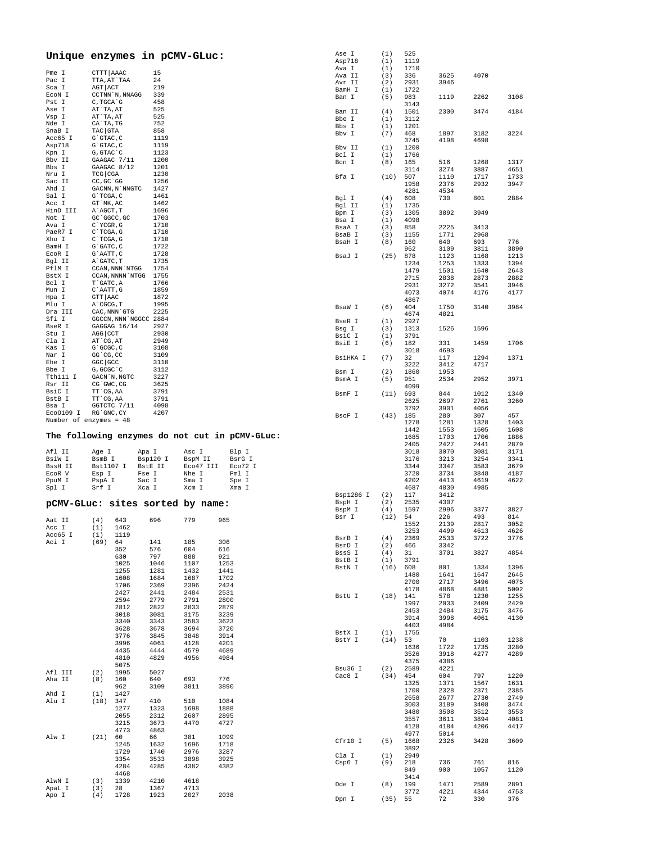|                          |                            | Unique enzymes in pCMV-GLuc:                   |              |              | Ase I<br>Asp718         | (1)         | 525          |              |              |              |
|--------------------------|----------------------------|------------------------------------------------|--------------|--------------|-------------------------|-------------|--------------|--------------|--------------|--------------|
|                          |                            |                                                |              |              | Ava I                   | (1)<br>(1)  | 1119<br>1710 |              |              |              |
| Pme I                    | CTTT AAAC                  | 15                                             |              |              | Ava II                  | (3)         | 336          | 3625         | 4070         |              |
| Pac I                    | TTA, AT`TAA                | 24                                             |              |              | Avr II                  | (2)         | 2931         | 3946         |              |              |
| Sca I                    | AGT ACT                    | 219                                            |              |              | BamH I                  | (1)         | 1722         |              |              |              |
| ECON I                   | CCTNN `N, NNAGG            | 339                                            |              |              | Ban I                   | (5)         | 983          | 1119         | 2262         | 3108         |
| Pst I<br>Ase I           | C, TGCA G<br>AT`TA, AT     | 458<br>525                                     |              |              |                         |             | 3143         |              |              |              |
| Vsp I                    | AT`TA, AT                  | 525                                            |              |              | Ban II                  | (4)         | 1501         | 2300         | 3474         | 4184         |
| Nde I                    | CA`TA, TG                  | 752                                            |              |              | Bbe I<br>Bbs I          | (1)<br>(1)  | 3112<br>1201 |              |              |              |
| SnaB I                   | TAC GTA                    | 858                                            |              |              | Bbv I                   | (7)         | 468          | 1897         | 3182         | 3224         |
| Acc65 I                  | $G$ $GTAC$ , $C$           | 1119                                           |              |              |                         |             | 3745         | 4198         | 4698         |              |
| Asp718                   | $G$ $GTAC$ , $C$           | 1119                                           |              |              | Bbv II                  | (1)         | 1200         |              |              |              |
| Kpn I                    | G, GTAC C                  | 1123                                           |              |              | Bcl I                   | (1)         | 1766         |              |              |              |
| Bbv II                   | GAAGAC 7/11                | 1200                                           |              |              | Bcn I                   | (8)         | 165          | 516          | 1268         | 1317         |
| Bbs I<br>Nru I           | GAAGAC 8/12<br>TCG CGA     | 1201<br>1230                                   |              |              |                         |             | 3114         | 3274         | 3887         | 4651         |
| Sac II                   | CC, GC `GG                 | 1256                                           |              |              | Bfa I                   | (10)        | 507          | 1110         | 1717         | 1733         |
| Ahd I                    | GACNN, N`NNGTC             | 1427                                           |              |              |                         |             | 1958<br>4281 | 2376<br>4534 | 2932         | 3947         |
| Sal I                    | G`TCGA, C                  | 1461                                           |              |              | Bql I                   | (4)         | 608          | 730          | 801          | 2884         |
| Acc I                    | GT `MK, AC                 | 1462                                           |              |              | Bgl II                  | (1)         | 1735         |              |              |              |
| HinD III                 | A`AGCT, T                  | 1696                                           |              |              | Bpm I                   | (3)         | 1305         | 3892         | 3949         |              |
| Not I                    | GC `GGCC, GC               | 1703                                           |              |              | Bsa I                   | (1)         | 4098         |              |              |              |
| Ava I                    | C`YCGR, G                  | 1710                                           |              |              | BsaA I                  | (3)         | 858          | 2225         | 3413         |              |
| PaeR7 I                  | $C$ TCGA, G                | 1710                                           |              |              | BsaB I                  | (3)         | 1155         | 1771         | 2968         |              |
| Xho I<br>BamH I          | C TCGA, G<br>G`GATC, C     | 1710<br>1722                                   |              |              | BsaH I                  | (8)         | 160          | 640          | 693          | 776          |
| ECOR I                   | G`AATT, C                  | 1728                                           |              |              |                         |             | 962          | 3109         | 3811         | 3890         |
| Bgl II                   | A`GATC, T                  | 1735                                           |              |              | BsaJ I                  | (25)        | 878          | 1123         | 1168         | 1213         |
| PflM I                   | CCAN, NNN `NTGG            | 1754                                           |              |              |                         |             | 1234<br>1479 | 1253<br>1501 | 1333<br>1640 | 1394<br>2643 |
| BstX I                   | CCAN, NNNN `NTGG           | 1755                                           |              |              |                         |             | 2715         | 2838         | 2873         | 2882         |
| Bcl I                    | T`GATC, A                  | 1766                                           |              |              |                         |             | 2931         | 3272         | 3541         | 3946         |
| Mun I                    | C`AATT, G                  | 1859                                           |              |              |                         |             | 4073         | 4074         | 4176         | 4177         |
| Hpa I                    | GTT AAC                    | 1872                                           |              |              |                         |             | 4867         |              |              |              |
| Mlu I<br>Dra III         | A`CGCG, T<br>CAC, NNN `GTG | 1995<br>2225                                   |              |              | BsaW I                  | (6)         | 404          | 1750         | 3140         | 3984         |
| Sfi I                    | GGCCN, NNN `NGGCC 2884     |                                                |              |              |                         |             | 4674         | 4821         |              |              |
| BseR I                   | GAGGAG 16/14               | 2927                                           |              |              | BseR I                  | (1)         | 2927         |              |              |              |
| Stu I                    | AGG CCT                    | 2930                                           |              |              | Bsg I                   | (3)         | 1313         | 1526         | 1596         |              |
| Cla I                    | AT CG, AT                  | 2949                                           |              |              | BsiC I<br><b>BsiE I</b> | (1)<br>(6)  | 3791<br>182  | 331          | 1459         | 1706         |
| Kas I                    | G`GCGC, C                  | 3108                                           |              |              |                         |             | 3018         | 4693         |              |              |
| Nar I                    | GG CG, CC                  | 3109                                           |              |              | BsiHKA I                | (7)         | 32           | 117          | 1294         | 1371         |
| Ehe I                    | GGC GCC                    | 3110                                           |              |              |                         |             | 3222         | 3412         | 4717         |              |
| Bbe I                    | G, GCGC `C                 | 3112                                           |              |              | Bsm I                   | (2)         | 1860         | 1953         |              |              |
| Tth111 I                 | GACN `N, NGTC              | 3227                                           |              |              | BsmA I                  | (5)         | 951          | 2534         | 2952         | 3971         |
| Rsr II<br>BsiC I         | CG`GWC, CG<br>TT CG, AA    | 3625<br>3791                                   |              |              |                         |             | 4099         |              |              |              |
| BstB I                   | TT CG, AA                  | 3791                                           |              |              | BsmF I                  | (11)        | 693          | 844          | 1012         | 1340         |
| Bsa I                    | GGTCTC 7/11                | 4098                                           |              |              |                         |             | 2625         | 2697         | 2761         | 3260         |
| Eco0109 I                | RG`GNC, CY                 | 4207                                           |              |              | BsoF I                  | (43)        | 3792<br>185  | 3901<br>280  | 4056<br>307  | 457          |
| Number of enzymes = $48$ |                            |                                                |              |              |                         |             | 1278         | 1281         | 1328         | 1403         |
|                          |                            |                                                |              |              |                         |             |              |              |              |              |
|                          |                            |                                                |              |              |                         |             |              |              |              |              |
|                          |                            |                                                |              |              |                         |             | 1442         | 1553         | 1605         | 1608         |
|                          |                            | The following enzymes do not cut in pCMV-GLuc: |              |              |                         |             | 1685         | 1703         | 1706         | 1886         |
| Afl II                   | Age I                      | Apa I                                          | Asc I        | Blp I        |                         |             | 2405<br>3018 | 2427<br>3070 | 2441<br>3081 | 2879<br>3171 |
| BsiW I                   | BsmB I                     | Bsp120 I                                       | BspM II      | BsrG I       |                         |             | 3176         | 3213         | 3254         | 3341         |
| BssH II                  | Bst1107 I                  | BstE II                                        | Eco47 III    | Eco72 I      |                         |             | 3344         | 3347         | 3583         | 3679         |
| ECOR V                   | Esp I                      | Fse I                                          | Nhe I        | Pml I        |                         |             | 3720         | 3734         | 3848         | 4187         |
| PpuM I                   | PspA I                     | Sac I                                          | Sma I        | Spe I        |                         |             | 4202         | 4413         | 4619         | 4622         |
| Spl I                    | Srf I                      | Xca I                                          | Xcm I        | Xma I        |                         |             | 4687         | 4830         | 4985         |              |
|                          |                            |                                                |              |              | Bsp1286 I               | (2)         | 117          | 3412         |              |              |
|                          |                            | pCMV-GLuc: sites sorted by name:               |              |              | BspH I                  | (2)         | 2535         | 4307         |              |              |
|                          |                            |                                                |              |              | BspM I<br>Bsr I         | (4)<br>(12) | 1597<br>54   | 2996<br>226  | 3377<br>493  | 3827<br>814  |
| Aat II                   | (4)<br>643                 | 696                                            | 779          | 965          |                         |             | 1552         | 2139         | 2817         | 3052         |
| Acc. T                   | 1462<br>(1)                |                                                |              |              |                         |             | 3253         | 4499         | 4613         | 4626         |
| Acc65 I                  | 1119<br>(1)<br>(69) 64     |                                                |              | 306          | BsrB I                  | (4)         | 2369         | 2533         | 3722         | 3776         |
| Aci I                    | 352                        | 141<br>576                                     | 185<br>604   | 616          | BsrD I                  | (2)         | 466          | 3342         |              |              |
|                          | 630                        | 797                                            | 888          | 921          | BssS I                  | (4)         | 31           | 3701         | 3827         | 4854         |
|                          | 1025                       | 1046                                           | 1107         | 1253         | BstB I                  | (1)         | 3791         |              |              |              |
|                          | 1255                       | 1281                                           | 1432         | 1441         | BstN I                  | (16)        | 608          | 801          | 1334         | 1396         |
|                          | 1608                       | 1684                                           | 1687         | 1702         |                         |             | 1480<br>2700 | 1641<br>2717 | 1647<br>3496 | 2645<br>4075 |
|                          | 1706                       | 2369                                           | 2396         | 2424         |                         |             | 4178         | 4868         | 4881         | 5002         |
|                          | 2427                       | 2441                                           | 2484         | 2531         | BstU I                  | $(18)$ 141  |              | 578          | 1230         | 1255         |
|                          | 2594                       | 2779                                           | 2791         | 2800         |                         |             | 1997         | 2033         | 2409         | 2429         |
|                          | 2812                       | 2822                                           | 2833         | 2879         |                         |             | 2453         | 2484         | 3175         | 3476         |
|                          | 3018<br>3340               | 3081<br>3343                                   | 3175<br>3583 | 3239<br>3623 |                         |             | 3914         | 3998         | 4061         | 4130         |
|                          | 3628                       | 3678                                           | 3694         | 3720         |                         |             | 4403         | 4984         |              |              |
|                          | 3776                       | 3845                                           | 3848         | 3914         | BstX I                  | (1)         | 1755         |              |              |              |
|                          | 3996                       | 4061                                           | 4128         | 4201         | BstY I                  | (14)        | 53           | 70           | 1103         | 1238         |
|                          | 4435                       | 4444                                           | 4579         | 4689         |                         |             | 1636<br>3526 | 1722<br>3918 | 1735<br>4277 | 3280<br>4289 |
|                          | 4810                       | 4829                                           | 4956         | 4984         |                         |             | 4375         | 4386         |              |              |
|                          | 5075                       |                                                |              |              | Bsu36 I                 | (2)         | 2589         | 4221         |              |              |
| Afl III                  | 1995<br>(2)                | 5027                                           |              |              | Cac8 I                  | (34)        | 454          | 604          | 797          | 1220         |
| Aha II                   | (8)<br>160<br>962          | 640<br>3109                                    | 693<br>3811  | 776<br>3890  |                         |             | 1325         | 1371         | 1567         | 1631         |
| Ahd I                    | (1)<br>1427                |                                                |              |              |                         |             | 1700         | 2328         | 2371         | 2385         |
| Alu I                    | 347<br>(18)                | 410                                            | 510          | 1084         |                         |             | 2658         | 2677         | 2730         | 2749         |
|                          | 1277                       | 1323                                           | 1698         | 1888         |                         |             | 3003         | 3189         | 3408         | 3474         |
|                          | 2055                       | 2312                                           | 2607         | 2895         |                         |             | 3480         | 3508         | 3512         | 3553         |
|                          | 3215                       | 3673                                           | 4470         | 4727         |                         |             | 3557<br>4128 | 3611<br>4184 | 3894<br>4206 | 4081<br>4417 |
|                          | 4773                       | 4863                                           |              |              |                         |             | 4977         | 5014         |              |              |
| Alw I                    | (21)<br>60                 | 66                                             | 381          | 1099         | Cfr10 I                 | (5)         | 1668         | 2326         | 3428         | 3609         |
|                          | 1245                       | 1632                                           | 1696         | 1718         |                         |             | 3892         |              |              |              |
|                          | 1729                       | 1740                                           | 2976         | 3287         | Cla I                   | (1)         | 2949         |              |              |              |
|                          | 3354<br>4284               | 3533<br>4285                                   | 3898<br>4382 | 3925<br>4382 | Csp6 I                  | (9)         | 218          | 736          | 761          | 816          |
|                          | 4468                       |                                                |              |              |                         |             | 849          | 900          | 1057         | 1120         |
| AlwN I                   | 1339<br>(3)                | 4210                                           | 4618         |              |                         |             | 3414         |              |              |              |
| ApaL I<br>Apo I          | (3)<br>28<br>(4)<br>1728   | 1367<br>1923                                   | 4713<br>2027 | 2038         | Dde I                   | (8)         | 199<br>3772  | 1471<br>4221 | 2589<br>4344 | 2891<br>4753 |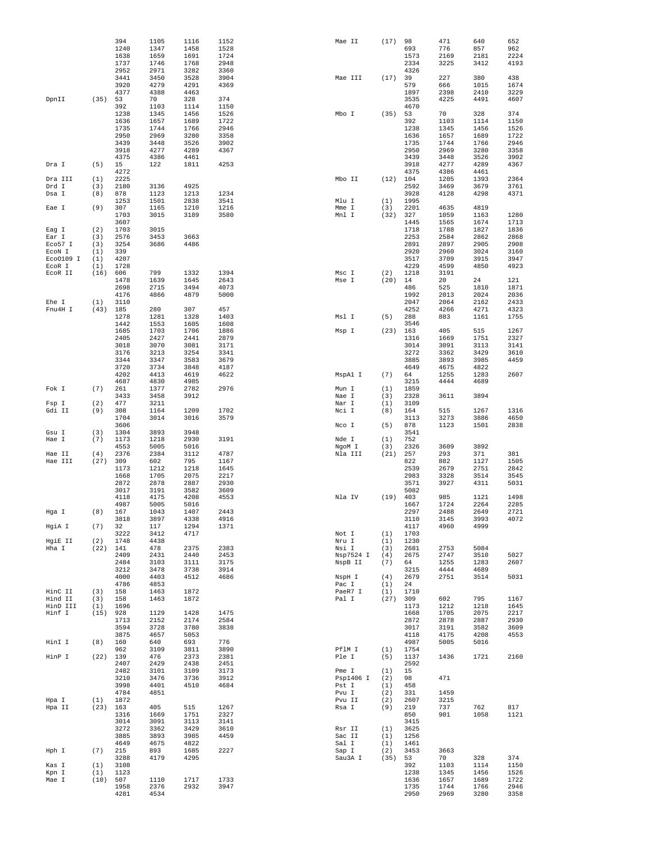|                     |             | 394<br>1240        | 1105<br>1347 | 1116<br>1458 | 1152<br>1528 | Mae II           | (17)        | 98<br>693    | 471<br>776   | 640<br>857   | 652<br>962   |
|---------------------|-------------|--------------------|--------------|--------------|--------------|------------------|-------------|--------------|--------------|--------------|--------------|
|                     |             | 1638<br>1737       | 1659<br>1746 | 1691<br>1768 | 1724<br>2948 |                  |             | 1573<br>2334 | 2169<br>3225 | 2181<br>3412 | 2224<br>4193 |
|                     |             | 2952<br>3441       | 2971<br>3450 | 3282<br>3528 | 3360<br>3904 | Mae III          | (17)        | 4326<br>39   | 227          | 380          | 438          |
|                     |             | 3920               | 4279         | 4291         | 4369         |                  |             | 579          | 666          | 1015         | 1674         |
| DpnII               | (35)        | 4377<br>53         | 4388<br>70   | 4463<br>328  | 374          |                  |             | 1897<br>3535 | 2398<br>4225 | 2410<br>4491 | 3229<br>4607 |
|                     |             | 392<br>1238        | 1103<br>1345 | 1114<br>1456 | 1150<br>1526 | Mbo I            | (35)        | 4670<br>53   | 70           | 328          | 374          |
|                     |             | 1636               | 1657         | 1689         | 1722         |                  |             | 392          | 1103         | 1114         | 1150         |
|                     |             | 1735<br>2950       | 1744<br>2969 | 1766<br>3280 | 2946<br>3358 |                  |             | 1238<br>1636 | 1345<br>1657 | 1456<br>1689 | 1526<br>1722 |
|                     |             | 3439<br>3918       | 3448<br>4277 | 3526<br>4289 | 3902<br>4367 |                  |             | 1735<br>2950 | 1744<br>2969 | 1766<br>3280 | 2946<br>3358 |
|                     |             | 4375               | 4386         | 4461         |              |                  |             | 3439         | 3448         | 3526         | 3902         |
| Dra I               | (5)         | 15<br>4272         | 122          | 1811         | 4253         |                  |             | 3918<br>4375 | 4277<br>4386 | 4289<br>4461 | 4367         |
| Dra III             | (1)         | 2225               |              |              |              | Mbo II           | (12)        | 104          | 1205         | 1393         | 2364         |
| Drd I<br>Dsa I      | (3)<br>(8)  | 2180<br>878        | 3136<br>1123 | 4925<br>1213 | 1234         |                  |             | 2592<br>3928 | 3469<br>4128 | 3679<br>4298 | 3761<br>4371 |
|                     |             | 1253               | 1501         | 2838         | 3541         | Mlu I            | (1)         | 1995         |              |              |              |
| Eae I               | (9)         | 307<br>1703        | 1165<br>3015 | 1210<br>3189 | 1216<br>3580 | Mme I<br>Mnl I   | (3)<br>(32) | 2201<br>327  | 4635<br>1059 | 4819<br>1163 | 1280         |
| Eag I               | (2)         | 3607<br>1703       | 3015         |              |              |                  |             | 1445<br>1718 | 1565<br>1788 | 1674<br>1827 | 1713<br>1836 |
| Ear I               | (3)         | 2576               | 3453         | 3663         |              |                  |             | 2253         | 2584         | 2862         | 2868         |
| Eco57 I<br>ECON I   | (3)<br>(1)  | 3254<br>339        | 3686         | 4486         |              |                  |             | 2891<br>2920 | 2897<br>2960 | 2905<br>3024 | 2908<br>3160 |
| Eco0109 I           | (1)         | 4207               |              |              |              |                  |             | 3517         | 3709         | 3915         | 3947         |
| ECOR I<br>ECOR II   | (1)<br>(16) | 1728<br>606        | 799          | 1332         | 1394         | Msc I            | (2)         | 4229<br>1218 | 4599<br>3191 | 4850         | 4923         |
|                     |             | 1478               | 1639         | 1645         | 2643         | Mse I            | (20)        | 14           | 20           | 24           | 121          |
|                     |             | 2698<br>4176       | 2715<br>4866 | 3494<br>4879 | 4073<br>5000 |                  |             | 486<br>1992  | 525<br>2013  | 1810<br>2024 | 1871<br>2036 |
| Ehe I               | (1)         | 3110               |              |              |              |                  |             | 2047         | 2064         | 2162         | 2433         |
| Fnu4H I             | (43)        | 185<br>1278        | 280<br>1281  | 307<br>1328  | 457<br>1403  | Msl I            | (5)         | 4252<br>288  | 4266<br>883  | 4271<br>1161 | 4323<br>1755 |
|                     |             | 1442               | 1553         | 1605         | 1608         |                  |             | 3546         |              |              |              |
|                     |             | 1685<br>2405       | 1703<br>2427 | 1706<br>2441 | 1886<br>2879 | Msp I            | (23)        | 163<br>1316  | 405<br>1669  | 515<br>1751  | 1267<br>2327 |
|                     |             | 3018               | 3070         | 3081         | 3171         |                  |             | 3014         | 3091         | 3113         | 3141         |
|                     |             | 3176<br>3344       | 3213<br>3347 | 3254<br>3583 | 3341<br>3679 |                  |             | 3272<br>3885 | 3362<br>3893 | 3429<br>3985 | 3610<br>4459 |
|                     |             | 3720               | 3734         | 3848         | 4187         |                  |             | 4649         | 4675         | 4822         |              |
|                     |             | 4202<br>4687       | 4413<br>4830 | 4619<br>4985 | 4622         | MspAl I          | (7)         | 64<br>3215   | 1255<br>4444 | 1283<br>4689 | 2607         |
| Fok I               | (7)         | 261                | 1377         | 2782         | 2976         | Mun I            | (1)         | 1859         |              |              |              |
| Fsp I               | (2)         | 3433<br>477        | 3458<br>3211 | 3912         |              | Nae I<br>Nar I   | (3)<br>(1)  | 2328<br>3109 | 3611         | 3894         |              |
| Gdi II              | (9)         | 308                | 1164         | 1209         | 1702         | Nci I            | (8)         | 164          | 515          | 1267         | 1316         |
|                     |             | 1704<br>3606       | 3014         | 3016         | 3579         | Nco I            | (5)         | 3113<br>878  | 3273<br>1123 | 3886<br>1501 | 4650<br>2838 |
| Gsu I<br>Hae I      | (3)<br>(7)  | 1304<br>1173       | 3893<br>1218 | 3948<br>2930 | 3191         | Nde I            | (1)         | 3541<br>752  |              |              |              |
|                     |             | 4553               | 5005         | 5016         |              | NgoM I           | (3)         | 2326         | 3609         | 3892         |              |
| Hae II<br>Hae III   | (4)<br>(27) | 2376<br>309        | 2384<br>602  | 3112<br>795  | 4787<br>1167 | Nla III          | (21)        | 257<br>822   | 293<br>882   | 371<br>1127  | 381<br>1505  |
|                     |             | 1173               | 1212         | 1218         | 1645         |                  |             | 2539         | 2679         | 2751         | 2842         |
|                     |             | 1668<br>2872       | 1705<br>2878 | 2075<br>2887 | 2217<br>2930 |                  |             | 2983<br>3571 | 3328<br>3927 | 3514<br>4311 | 3545<br>5031 |
|                     |             | 3017               | 3191         | 3582         | 3609         |                  |             | 5082         |              |              |              |
|                     |             | 4118<br>4987       | 4175<br>5005 | 4208<br>5016 | 4553         | Nla IV           | (19)        | 403<br>1667  | 985<br>1724  | 1121<br>2264 | 1498<br>2285 |
| Hga I               | (8)         | 167                | 1043         | 1407         | 2443         |                  |             | 2297         | 2488         | 2649         | 2721         |
| HgiA I              | (7)         | 3818<br>32         | 3897<br>117  | 4338<br>1294 | 4916<br>1371 |                  |             | 3110<br>4117 | 3145<br>4960 | 3993<br>4999 | 4072         |
|                     |             | 3222               | 3412         | 4717         |              | Not I            | (1)         | 1703         |              |              |              |
| HgiE II<br>Hha I    | (2)<br>(22) | 1748<br>141        | 4438<br>478  | 2375         | 2383         | Nru I<br>Nsi I   | (1)<br>(3)  | 1230<br>2681 | 2753         | 5084         |              |
|                     |             | 2409               | 2431         | 2440         | 2453         | Nsp7524 I        | (4)         | 2675         | 2747         | 3510         | 5027         |
|                     |             | 2484<br>3212       | 3103<br>3478 | 3111<br>3738 | 3175<br>3914 | NspB II          | (7)         | 64<br>3215   | 1255<br>4444 | 1283<br>4689 | 2607         |
|                     |             | 4000<br>4786       | 4403<br>4853 | 4512         | 4686         | NspH I<br>Pac I  | (4)<br>(1)  | 2679<br>24   | 2751         | 3514         | 5031         |
| HinC II             | (3)         | 158                | 1463         | 1872         |              | PaeR7 I          | (1)         | 1710         |              |              |              |
| Hind II<br>HinD III | (3)<br>(1)  | 158<br>1696        | 1463         | 1872         |              | Pal I            | (27)        | 309<br>1173  | 602<br>1212  | 795<br>1218  | 1167<br>1645 |
| Hinf I              | (15)        | 928                | 1129         | 1428         | 1475         |                  |             | 1668         | 1705         | 2075         | 2217         |
|                     |             | 1713<br>3594       | 2152<br>3728 | 2174<br>3780 | 2584<br>3838 |                  |             | 2872<br>3017 | 2878<br>3191 | 2887<br>3582 | 2930<br>3609 |
|                     |             | 3875               | 4657         | 5053         |              |                  |             | 4118         | 4175         | 4208         | 4553         |
| HinI I              | (8)         | 160<br>962         | 640<br>3109  | 693<br>3811  | 776<br>3890  | PflM I           | (1)         | 4987<br>1754 | 5005         | 5016         |              |
| HinP I              |             | $(22)$ 139         | 476          | 2373         | 2381         | Ple I            | (5)         | 1137         | 1436         | 1721         | 2160         |
|                     |             | 2407<br>2482       | 2429<br>3101 | 2438<br>3109 | 2451<br>3173 | Pme I            | (1)         | 2592<br>15   |              |              |              |
|                     |             | 3210               | 3476         | 3736         | 3912         | Psp1406 I        | (2)         | 98           | 471          |              |              |
|                     |             | 3998<br>4784       | 4401<br>4851 | 4510         | 4684         | Pst I<br>Pvu I   | (1)<br>(2)  | 458<br>331   | 1459         |              |              |
| Hpa I               | (1)         | 1872               |              |              |              | Pvu II           | (2)         | 2607         | 3215         |              |              |
| Hpa II              |             | $(23)$ 163<br>1316 | 405<br>1669  | 515<br>1751  | 1267<br>2327 | Rsa I            | (9)         | 219<br>850   | 737<br>901   | 762<br>1058  | 817<br>1121  |
|                     |             | 3014               | 3091         | 3113         | 3141         |                  |             | 3415         |              |              |              |
|                     |             | 3272<br>3885       | 3362<br>3893 | 3429<br>3985 | 3610<br>4459 | Rsr II<br>Sac II | (1)<br>(1)  | 3625<br>1256 |              |              |              |
|                     |             | 4649               | 4675         | 4822         |              | Sal I            | (1)         | 1461         |              |              |              |
| Hph I               | (7)         | 215<br>3288        | 893<br>4179  | 1685<br>4295 | 2227         | Sap I<br>Sau3A I | (2)<br>(35) | 3453<br>53   | 3663<br>70   | 328          | 374          |
| Kas I               | (1)         | 3108               |              |              |              |                  |             | 392          | 1103         | 1114         | 1150         |
| Kpn I<br>Mae I      | (1)<br>(10) | 1123<br>507        | 1110         | 1717         | 1733         |                  |             | 1238<br>1636 | 1345<br>1657 | 1456<br>1689 | 1526<br>1722 |
|                     |             | 1958<br>4281       | 2376<br>4534 | 2932         | 3947         |                  |             | 1735<br>2950 | 1744<br>2969 | 1766<br>3280 | 2946<br>3358 |
|                     |             |                    |              |              |              |                  |             |              |              |              |              |